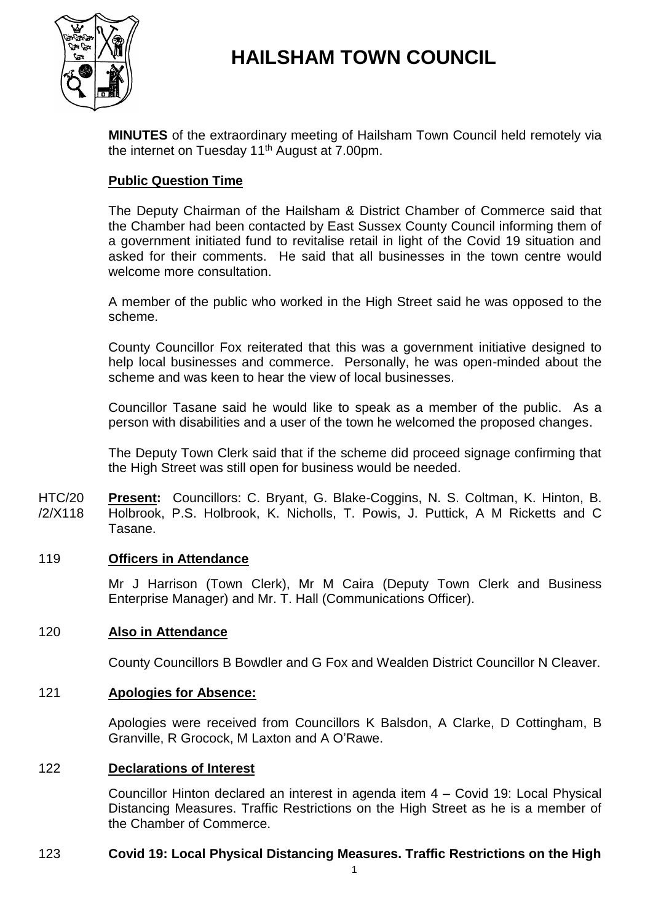



**MINUTES** of the extraordinary meeting of Hailsham Town Council held remotely via the internet on Tuesday 11<sup>th</sup> August at 7.00pm.

# **Public Question Time**

The Deputy Chairman of the Hailsham & District Chamber of Commerce said that the Chamber had been contacted by East Sussex County Council informing them of a government initiated fund to revitalise retail in light of the Covid 19 situation and asked for their comments. He said that all businesses in the town centre would welcome more consultation.

A member of the public who worked in the High Street said he was opposed to the scheme.

County Councillor Fox reiterated that this was a government initiative designed to help local businesses and commerce. Personally, he was open-minded about the scheme and was keen to hear the view of local businesses.

Councillor Tasane said he would like to speak as a member of the public. As a person with disabilities and a user of the town he welcomed the proposed changes.

The Deputy Town Clerk said that if the scheme did proceed signage confirming that the High Street was still open for business would be needed.

HTC/20 /2/X118 **Present:** Councillors: C. Bryant, G. Blake-Coggins, N. S. Coltman, K. Hinton, B. Holbrook, P.S. Holbrook, K. Nicholls, T. Powis, J. Puttick, A M Ricketts and C Tasane.

## 119 **Officers in Attendance**

Mr J Harrison (Town Clerk), Mr M Caira (Deputy Town Clerk and Business Enterprise Manager) and Mr. T. Hall (Communications Officer).

#### 120 **Also in Attendance**

County Councillors B Bowdler and G Fox and Wealden District Councillor N Cleaver.

#### 121 **Apologies for Absence:**

Apologies were received from Councillors K Balsdon, A Clarke, D Cottingham, B Granville, R Grocock, M Laxton and A O'Rawe.

#### 122 **Declarations of Interest**

Councillor Hinton declared an interest in agenda item 4 – Covid 19: Local Physical Distancing Measures. Traffic Restrictions on the High Street as he is a member of the Chamber of Commerce.

## 123 **Covid 19: Local Physical Distancing Measures. Traffic Restrictions on the High**